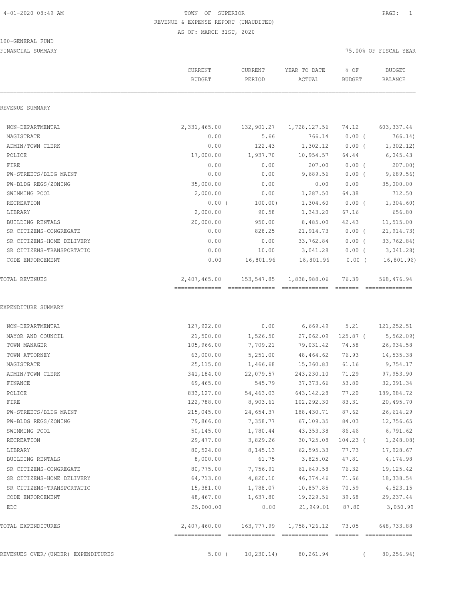100-GENERAL FUND

### 4-01-2020 08:49 AM TOWN OF SUPERIOR PAGE: 1 REVENUE & EXPENSE REPORT (UNAUDITED) AS OF: MARCH 31ST, 2020

|                                    | CURRENT<br><b>BUDGET</b> | CURRENT<br>PERIOD | YEAR TO DATE<br>ACTUAL        | % OF<br><b>BUDGET</b> | <b>BUDGET</b><br>BALANCE |
|------------------------------------|--------------------------|-------------------|-------------------------------|-----------------------|--------------------------|
| REVENUE SUMMARY                    |                          |                   |                               |                       |                          |
| NON-DEPARTMENTAL                   | 2,331,465.00             | 132,901.27        | 1,728,127.56                  | 74.12                 | 603, 337.44              |
| MAGISTRATE                         | 0.00                     | 5.66              | 766.14                        | $0.00$ (              | 766.14)                  |
| ADMIN/TOWN CLERK                   | 0.00                     | 122.43            | 1,302.12                      | $0.00$ (              | 1,302.12)                |
| POLICE                             | 17,000.00                | 1,937.70          | 10,954.57                     | 64.44                 | 6,045.43                 |
| FIRE                               | 0.00                     | 0.00              | 207.00                        | $0.00$ (              | 207.00                   |
| PW-STREETS/BLDG MAINT              | 0.00                     | 0.00              | 9,689.56                      | $0.00$ (              | 9,689.56                 |
| PW-BLDG REGS/ZONING                | 35,000.00                | 0.00              | 0.00                          | 0.00                  | 35,000.00                |
| SWIMMING POOL                      | 2,000.00                 | 0.00              | 1,287.50                      | 64.38                 | 712.50                   |
| RECREATION                         | $0.00$ (                 | 100.00)           | 1,304.60                      | $0.00$ (              | 1,304.60                 |
| LIBRARY                            | 2,000.00                 | 90.58             | 1,343.20                      | 67.16                 | 656.80                   |
| BUILDING RENTALS                   | 20,000.00                | 950.00            | 8,485.00                      | 42.43                 | 11,515.00                |
| SR CITIZENS-CONGREGATE             | 0.00                     | 828.25            | 21,914.73                     | $0.00$ (              | 21, 914.73)              |
| SR CITIZENS-HOME DELIVERY          | 0.00                     | 0.00              | 33,762.84                     | $0.00$ (              | 33,762.84)               |
| SR CITIZENS-TRANSPORTATIO          | 0.00                     | 10.00             | 3,041.28                      | $0.00$ (              | 3,041.28                 |
| CODE ENFORCEMENT                   | 0.00                     | 16,801.96         | 16,801.96                     | $0.00$ (              | 16, 801.96)              |
| TOTAL REVENUES                     | 2,407,465.00             | 153,547.85        | 1,838,988.06                  | 76.39                 | 568,476.94               |
| NON-DEPARTMENTAL                   | 127,922.00               | 0.00              | 6,669.49                      | 5.21                  | 121,252.51               |
| MAYOR AND COUNCIL                  | 21,500.00                | 1,526.50          | 27,062.09                     | $125.87$ (            | 5, 562.09                |
| TOWN MANAGER                       | 105,966.00               | 7,709.21          | 79,031.42                     | 74.58                 | 26,934.58                |
| TOWN ATTORNEY                      | 63,000.00                | 5,251.00          | 48,464.62                     | 76.93                 | 14,535.38                |
| MAGISTRATE                         | 25,115.00                | 1,466.68          | 15,360.83                     | 61.16                 | 9,754.17                 |
| ADMIN/TOWN CLERK                   | 341,184.00               | 22,079.57         | 243,230.10                    | 71.29                 | 97,953.90                |
| FINANCE                            | 69,465.00                | 545.79            | 37, 373.66                    | 53.80                 | 32,091.34                |
| POLICE                             | 833, 127.00              | 54,463.03         | 643, 142.28                   | 77.20                 | 189,984.72               |
| FIRE                               | 122,788.00               | 8,903.61          | 102,292.30                    | 83.31                 | 20,495.70                |
| PW-STREETS/BLDG MAINT              | 215,045.00               | 24,654.37         | 188,430.71                    | 87.62                 | 26,614.29                |
| PW-BLDG REGS/ZONING                | 79,866.00                | 7,358.77          | 67, 109.35                    | 84.03                 | 12,756.65                |
| SWIMMING POOL                      | 50,145.00                | 1,780.44          | 43, 353.38                    | 86.46                 | 6,791.62                 |
| RECREATION                         | 29,477.00                | 3,829.26          | 30,725.08                     | $104.23$ (            | 1,248.08)                |
| LIBRARY                            | 80,524.00                | 8,145.13          | 62, 595.33                    | 77.73                 | 17,928.67                |
| BUILDING RENTALS                   | 8,000.00                 | 61.75             | 3,825.02                      | 47.81                 | 4,174.98                 |
| SR CITIZENS-CONGREGATE             | 80,775.00                | 7,756.91          | 61,649.58                     | 76.32                 | 19, 125. 42              |
| SR CITIZENS-HOME DELIVERY          | 64,713.00                | 4,820.10          | 46, 374.46                    | 71.66                 | 18,338.54                |
| SR CITIZENS-TRANSPORTATIO          | 15,381.00                | 1,788.07          | 10,857.85                     | 70.59                 | 4,523.15                 |
| CODE ENFORCEMENT                   | 48,467.00                | 1,637.80          | 19,229.56                     | 39.68                 | 29, 237.44               |
| EDC                                | 25,000.00                | 0.00              | 21,949.01                     | 87.80                 | 3,050.99                 |
| TOTAL EXPENDITURES                 | 2,407,460.00             |                   | 163,777.99 1,758,726.12 73.05 |                       | 648,733.88               |
| REVENUES OVER/(UNDER) EXPENDITURES | $5.00$ (                 | 10, 230.14)       | 80,261.94                     | $\left($              | 80,256.94)               |
|                                    |                          |                   |                               |                       |                          |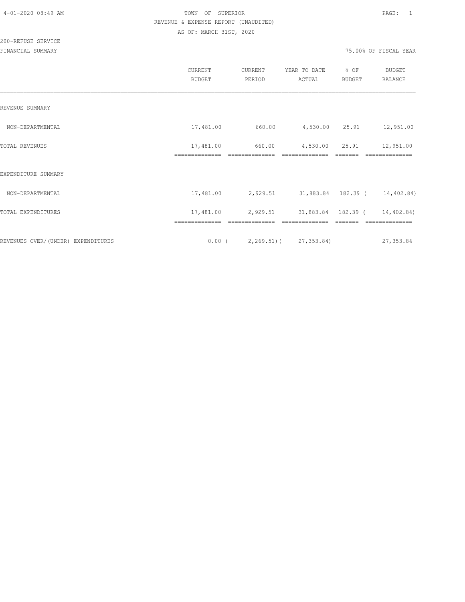|                                    | CURRENT<br><b>BUDGET</b>    | CURRENT<br>PERIOD | YEAR TO DATE<br>ACTUAL                 | % OF<br><b>BUDGET</b> | <b>BUDGET</b><br>BALANCE |
|------------------------------------|-----------------------------|-------------------|----------------------------------------|-----------------------|--------------------------|
| REVENUE SUMMARY                    |                             |                   |                                        |                       |                          |
| NON-DEPARTMENTAL                   | 17,481.00                   | 660.00            | 4,530.00 25.91                         |                       | 12,951.00                |
| TOTAL REVENUES                     | 17,481.00<br>============== | 660.00            | 4,530.00<br>==============             | 25.91                 | 12,951.00                |
| EXPENDITURE SUMMARY                |                             | ==============    |                                        |                       |                          |
| NON-DEPARTMENTAL                   | 17,481.00                   |                   | 2,929.51 31,883.84 182.39 ( 14,402.84) |                       |                          |
| TOTAL EXPENDITURES                 | 17,481.00                   | 2,929.51          | 31,883.84 182.39 (                     |                       | 14,402.84)               |
| REVENUES OVER/(UNDER) EXPENDITURES |                             |                   | $0.00$ ( 2,269.51) ( 27,353.84)        |                       | 27,353.84                |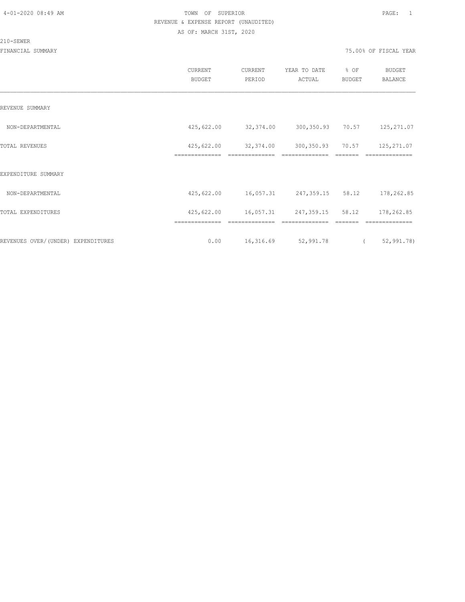210-SEWER

### 4-01-2020 08:49 AM TOWN OF SUPERIOR PAGE: 1 REVENUE & EXPENSE REPORT (UNAUDITED) AS OF: MARCH 31ST, 2020

|                                    | CURRENT<br><b>BUDGET</b>     | CURRENT<br>PERIOD           | YEAR TO DATE<br>ACTUAL      | % OF<br><b>BUDGET</b> | <b>BUDGET</b><br>BALANCE                 |
|------------------------------------|------------------------------|-----------------------------|-----------------------------|-----------------------|------------------------------------------|
| REVENUE SUMMARY                    |                              |                             |                             |                       |                                          |
| NON-DEPARTMENTAL                   | 425,622.00                   | 32,374.00                   | 300,350.93 70.57            |                       | 125, 271.07                              |
| <b>TOTAL REVENUES</b>              | 425,622.00<br>============== | 32,374.00                   | 300,350.93                  | 70.57                 | 125,271.07<br>==========                 |
| EXPENDITURE SUMMARY                |                              |                             |                             |                       |                                          |
| NON-DEPARTMENTAL                   | 425,622.00                   | 16,057.31 247,359.15 58.12  |                             |                       | 178,262.85                               |
| TOTAL EXPENDITURES                 | 425,622.00                   | 16,057.31                   | 247,359.15 58.12            |                       | 178,262.85                               |
| REVENUES OVER/(UNDER) EXPENDITURES | ==============<br>0.00       | ==============<br>16,316.69 | ==============<br>52,991.78 | =======               | --------------<br>52, 991.78<br>$\left($ |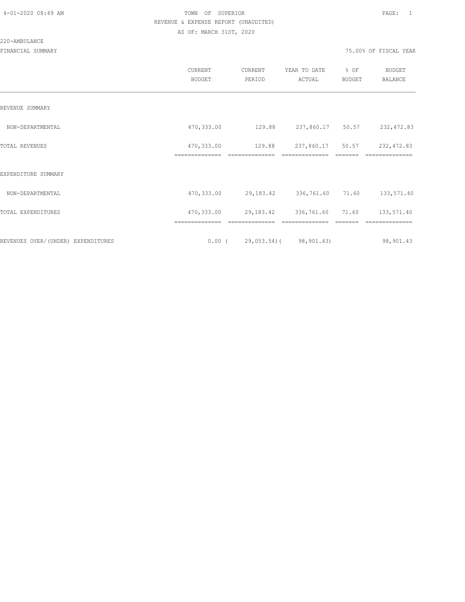#### 220-AMBULANCE

|                                     | <b>CURRENT</b><br><b>BUDGET</b> | CURRENT<br>PERIOD                | YEAR TO DATE<br>ACTUAL          | % OF<br><b>BUDGET</b> | <b>BUDGET</b><br>BALANCE |
|-------------------------------------|---------------------------------|----------------------------------|---------------------------------|-----------------------|--------------------------|
| REVENUE SUMMARY                     |                                 |                                  |                                 |                       |                          |
| NON-DEPARTMENTAL                    | 470,333.00                      | 129.88                           | 237,860.17 50.57                |                       | 232,472.83               |
| TOTAL REVENUES                      | 470,333.00<br>==============    | 129.88                           | 237,860.17<br>==============    | 50.57                 | 232, 472.83              |
| EXPENDITURE SUMMARY                 |                                 |                                  |                                 |                       |                          |
| NON-DEPARTMENTAL                    | 470, 333.00                     | 29,183.42                        | 336,761.60                      | 71.60                 | 133,571.40               |
| TOTAL EXPENDITURES                  | 470,333.00                      |                                  | 29, 183. 42 336, 761. 60 71. 60 |                       | 133,571.40               |
|                                     |                                 |                                  |                                 |                       |                          |
| REVENUES OVER/ (UNDER) EXPENDITURES |                                 | $0.00$ ( 29,053.54) ( 98,901.43) |                                 |                       | 98,901.43                |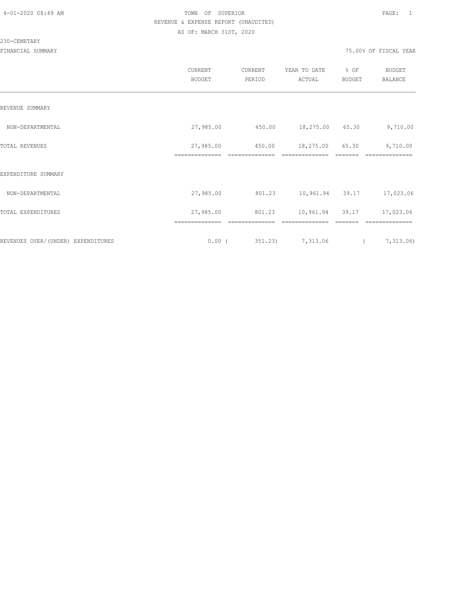#### 230-CEMETARY

|                                    | CURRENT<br>BUDGET | CURRENT<br>PERIOD | YEAR TO DATE<br>ACTUAL | % OF<br>BUDGET | <b>BUDGET</b><br>BALANCE |
|------------------------------------|-------------------|-------------------|------------------------|----------------|--------------------------|
| REVENUE SUMMARY                    |                   |                   |                        |                |                          |
| NON-DEPARTMENTAL                   | 27,985.00         | 450.00            | 18,275.00 65.30        |                | 9,710.00                 |
| TOTAL REVENUES                     | 27,985.00         | 450.00            | 18,275.00              | 65.30          | 9,710.00                 |
| EXPENDITURE SUMMARY                | ==============    | ==============    | ==============         |                |                          |
| NON-DEPARTMENTAL                   | 27,985.00         | 801.23            | 10,961.94 39.17        |                | 17,023.06                |
| TOTAL EXPENDITURES                 | 27,985.00         | 801.23            | 10,961.94              | 39.17          | 17,023.06                |
|                                    |                   |                   |                        |                |                          |
| REVENUES OVER/(UNDER) EXPENDITURES | $0.00$ (          | 351.23)           | 7,313.06               | $\sqrt{2}$     | 7,313.06                 |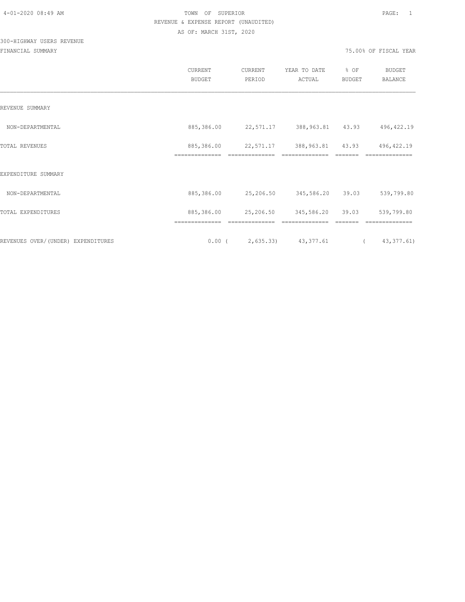## 300-HIGHWAY USERS REVENUE

|                                     | CURRENT<br><b>BUDGET</b>     | CURRENT<br>PERIOD | YEAR TO DATE<br>ACTUAL | % OF<br><b>BUDGET</b> | <b>BUDGET</b><br><b>BALANCE</b> |  |
|-------------------------------------|------------------------------|-------------------|------------------------|-----------------------|---------------------------------|--|
| REVENUE SUMMARY                     |                              |                   |                        |                       |                                 |  |
| NON-DEPARTMENTAL                    | 885,386.00                   | 22,571.17         | 388,963.81             | 43.93                 | 496, 422.19                     |  |
| TOTAL REVENUES                      | 885,386.00<br>============== | 22,571.17         | 388,963.81             | 43.93                 | 496, 422.19                     |  |
| EXPENDITURE SUMMARY                 |                              |                   |                        |                       |                                 |  |
| NON-DEPARTMENTAL                    | 885,386.00                   | 25,206.50         | 345,586.20             | 39.03                 | 539,799.80                      |  |
| TOTAL EXPENDITURES                  | 885,386.00                   | 25,206.50         | 345,586.20             | 39.03                 | 539,799.80                      |  |
| REVENUES OVER/ (UNDER) EXPENDITURES | 0.00(                        |                   | 2,635.33) 43,377.61    | $\sqrt{2}$            | 43, 377.61)                     |  |
|                                     |                              |                   |                        |                       |                                 |  |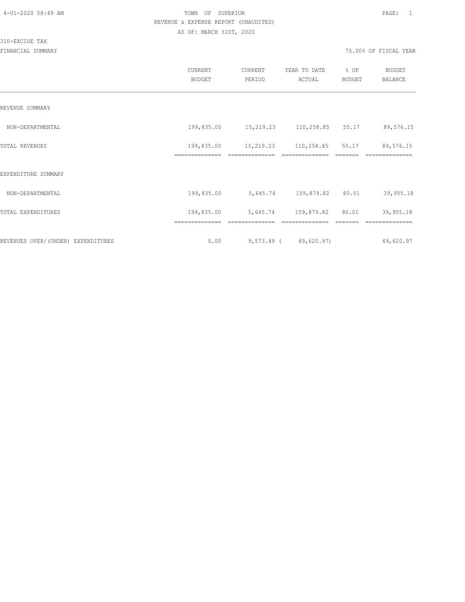|                                    | <b>CURRENT</b><br><b>BUDGET</b> | CURRENT<br>PERIOD          | YEAR TO DATE<br>ACTUAL | % OF<br>BUDGET | BUDGET<br><b>BALANCE</b> |
|------------------------------------|---------------------------------|----------------------------|------------------------|----------------|--------------------------|
| REVENUE SUMMARY                    |                                 |                            |                        |                |                          |
| NON-DEPARTMENTAL                   | 199,835.00                      | 15,219.23 110,258.85 55.17 |                        |                | 89,576.15                |
| TOTAL REVENUES                     | 199,835.00<br>==============    | 15,219.23                  | 110,258.85             | 55.17          | 89,576.15                |
| EXPENDITURE SUMMARY                |                                 |                            |                        |                |                          |
| NON-DEPARTMENTAL                   | 199,835.00                      | 5,645.74 159,879.82        |                        | 80.01          | 39,955.18                |
| TOTAL EXPENDITURES                 | 199,835.00                      | 5,645.74 159,879.82        |                        | 80.01          | 39,955.18                |
|                                    | ==============                  | ==============             | ==============         |                | ==============           |
| REVENUES OVER/(UNDER) EXPENDITURES | 0.00                            |                            | 9,573.49 (49,620.97)   |                | 49,620.97                |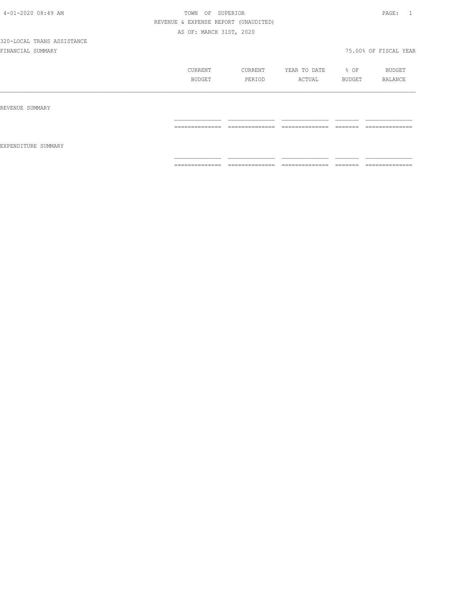|                     | CURRENT<br>BUDGET | CURRENT<br>PERIOD              | YEAR TO DATE<br>ACTUAL           | $\div$ OF<br>BUDGET | BUDGET<br>BALANCE                |
|---------------------|-------------------|--------------------------------|----------------------------------|---------------------|----------------------------------|
| REVENUE SUMMARY     |                   |                                |                                  |                     |                                  |
| EXPENDITURE SUMMARY | ==============    | ______________<br>____________ | ______________<br>______________ | --------<br>_______ | --------------<br>______________ |
|                     | ==============    | ==============                 | ==============                   | --------<br>------  | ==============                   |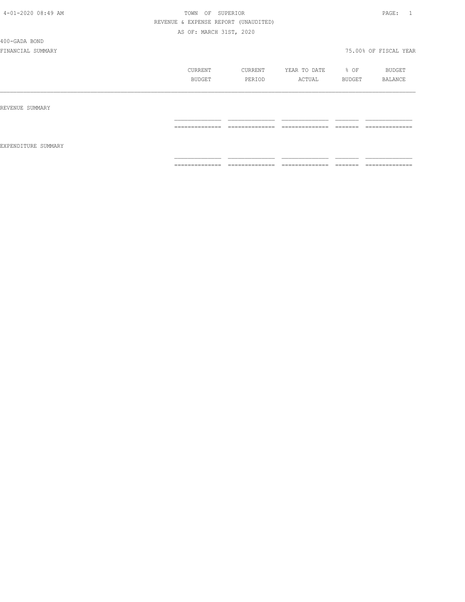400-GADA BOND

|                     | CURRENT<br>BUDGET | CURRENT<br>PERIOD | YEAR TO DATE<br>ACTUAL                                                                                                                                                                                                                                                                                                                                                                                                                                                                       | % OF<br>BUDGET     | BUDGET<br>BALANCE |
|---------------------|-------------------|-------------------|----------------------------------------------------------------------------------------------------------------------------------------------------------------------------------------------------------------------------------------------------------------------------------------------------------------------------------------------------------------------------------------------------------------------------------------------------------------------------------------------|--------------------|-------------------|
| REVENUE SUMMARY     |                   |                   |                                                                                                                                                                                                                                                                                                                                                                                                                                                                                              |                    |                   |
| EXPENDITURE SUMMARY | --------------    | ==============    | $\begin{array}{c} \multicolumn{2}{c} {\textbf{1}} & \multicolumn{2}{c} {\textbf{2}} & \multicolumn{2}{c} {\textbf{3}} & \multicolumn{2}{c} {\textbf{4}} \\ \multicolumn{2}{c} {\textbf{2}} & \multicolumn{2}{c} {\textbf{3}} & \multicolumn{2}{c} {\textbf{4}} & \multicolumn{2}{c} {\textbf{5}} & \multicolumn{2}{c} {\textbf{6}} \\ \multicolumn{2}{c} {\textbf{5}} & \multicolumn{2}{c} {\textbf{6}} & \multicolumn{2}{c} {\textbf{7}} & \multicolumn{2}{c} {\textbf{8}} & \multicolumn{$ |                    | ==============    |
|                     | --------------    | ==============    | ______________<br>_______________                                                                                                                                                                                                                                                                                                                                                                                                                                                            | --------<br>====== | ==============    |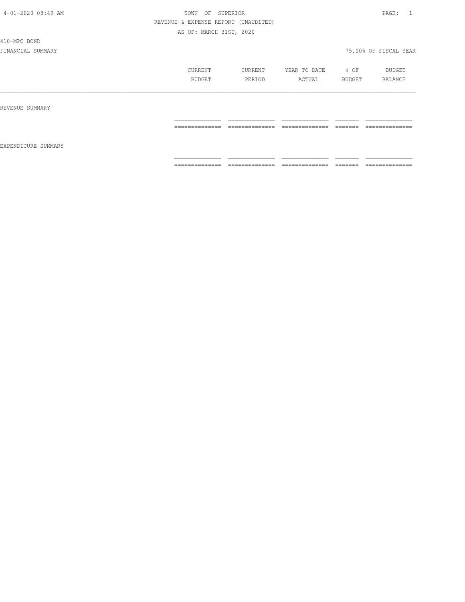410-MPC BOND

|                     | CURRENT<br>BUDGET   | CURRENT<br>PERIOD                 | YEAR TO DATE<br>ACTUAL | % OF<br>BUDGET      | BUDGET<br>BALANCE                 |
|---------------------|---------------------|-----------------------------------|------------------------|---------------------|-----------------------------------|
| REVENUE SUMMARY     |                     |                                   |                        |                     |                                   |
| EXPENDITURE SUMMARY | --------------<br>. | --------------<br>_______________ | ---------------<br>.   | -------<br>________ | --------------<br>_______________ |
|                     | ==============      | ==============                    | ==============         | <b>EEEEEE</b>       | ==============                    |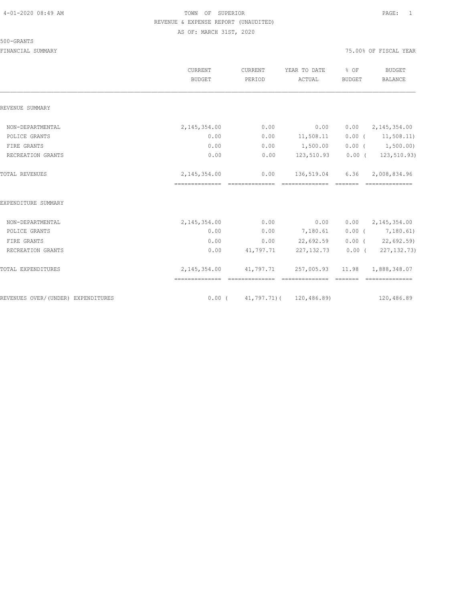#### 500-GRANTS

|                                    | CURRENT<br><b>BUDGET</b>                                      | CURRENT<br>PERIOD | YEAR TO DATE<br>ACTUAL                  | % OF<br><b>BUDGET</b> | <b>BUDGET</b><br><b>BALANCE</b> |
|------------------------------------|---------------------------------------------------------------|-------------------|-----------------------------------------|-----------------------|---------------------------------|
| REVENUE SUMMARY                    |                                                               |                   |                                         |                       |                                 |
| NON-DEPARTMENTAL                   | 2, 145, 354.00                                                | 0.00              | 0.00                                    | 0.00                  | 2,145,354.00                    |
| POLICE GRANTS                      | 0.00                                                          | 0.00              | 11,508.11                               |                       | $0.00$ ( $11,508.11$ )          |
| FIRE GRANTS                        | 0.00                                                          | 0.00              | 1,500.00                                |                       | $0.00$ ( $1,500.00$ )           |
| RECREATION GRANTS                  | 0.00                                                          | 0.00              | 123,510.93                              | $0.00$ (              | 123,510.93)                     |
| TOTAL REVENUES                     | 2, 145, 354.00                                                | 0.00              | 136,519.04                              |                       | 6.36 2,008,834.96               |
| EXPENDITURE SUMMARY                |                                                               |                   |                                         |                       |                                 |
| NON-DEPARTMENTAL                   | 2, 145, 354.00                                                | 0.00              | 0.00                                    |                       | $0.00 \qquad 2,145,354.00$      |
| POLICE GRANTS                      | 0.00                                                          | 0.00              | 7,180.61                                |                       | $0.00$ ( $7,180.61$ )           |
| FIRE GRANTS                        | 0.00                                                          | 0.00              | 22,692.59                               |                       | 0.00(22,692.59)                 |
| RECREATION GRANTS                  | 0.00                                                          | 41,797.71         | 227,132.73                              | $0.00$ (              | 227, 132. 73)                   |
| TOTAL EXPENDITURES                 | 2, 145, 354.00 41, 797.71 257, 005.93 11.98<br>============== |                   |                                         |                       | 1,888,348.07<br>==============  |
| REVENUES OVER/(UNDER) EXPENDITURES |                                                               |                   | $0.00$ ( $41,797.71$ ) ( $120,486.89$ ) |                       | 120,486.89                      |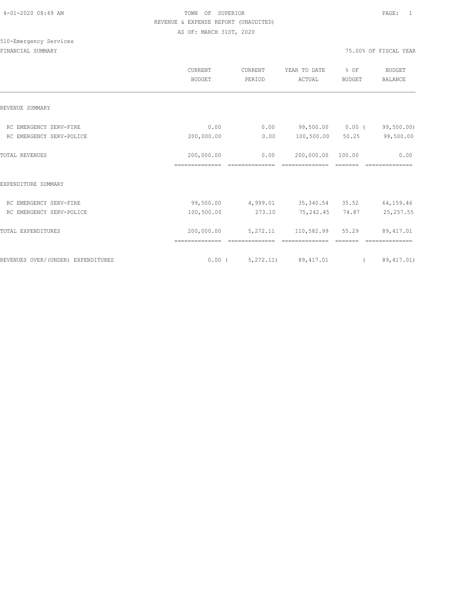# 510-Emergency Services

|                                    | CURRENT<br><b>BUDGET</b> | CURRENT<br>PERIOD | YEAR TO DATE<br>ACTUAL | % OF<br><b>BUDGET</b> | BUDGET<br><b>BALANCE</b> |
|------------------------------------|--------------------------|-------------------|------------------------|-----------------------|--------------------------|
| REVENUE SUMMARY                    |                          |                   |                        |                       |                          |
| RC EMERGENCY SERV-FIRE             | 0.00                     | 0.00              | 99,500.00              | $0.00$ (              | 99,500.00)               |
| RC EMERGENCY SERV-POLICE           | 200,000.00               | 0.00              | 100,500.00             | 50.25                 | 99,500.00                |
| <b>TOTAL REVENUES</b>              | 200,000.00               | 0.00              | 200,000.00             | 100.00                | 0.00                     |
|                                    | ==============           |                   |                        |                       |                          |
| EXPENDITURE SUMMARY                |                          |                   |                        |                       |                          |
| RC EMERGENCY SERV-FIRE             | 99,500.00                | 4,999.01          | 35, 340.54 35.52       |                       | 64,159.46                |
| RC EMERGENCY SERV-POLICE           | 100,500.00               | 273.10            | 75,242.45              | 74.87                 | 25, 257.55               |
| TOTAL EXPENDITURES                 | 200,000.00               | 5,272.11          | 110,582.99             | 55.29                 | 89, 417.01               |
| REVENUES OVER/(UNDER) EXPENDITURES | $0.00$ (                 |                   | 5, 272.11) 89, 417.01  | $\sim$ $\sim$         | 89, 417.01)              |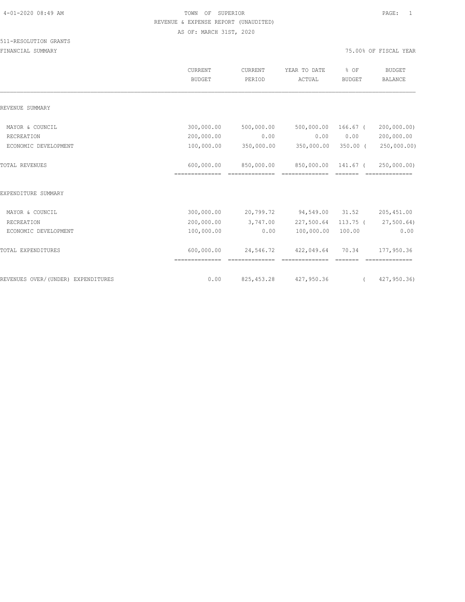|                                    | CURRENT<br><b>BUDGET</b>     | CURRENT<br>PERIOD | YEAR TO DATE<br>ACTUAL | % OF<br><b>BUDGET</b> | <b>BUDGET</b><br><b>BALANCE</b> |
|------------------------------------|------------------------------|-------------------|------------------------|-----------------------|---------------------------------|
| REVENUE SUMMARY                    |                              |                   |                        |                       |                                 |
| MAYOR & COUNCIL                    | 300,000.00                   | 500,000.00        | 500,000.00             | $166.67$ (            | 200,000.00)                     |
| RECREATION                         | 200,000.00                   | 0.00              | 0.00                   | 0.00                  | 200,000.00                      |
| ECONOMIC DEVELOPMENT               | 100,000.00                   | 350,000.00        | 350,000.00             | $350.00$ (            | 250,000.00)                     |
| TOTAL REVENUES                     | 600,000.00<br>============== | 850,000.00        | 850,000.00             | 141.67 (              | 250,000.00)                     |
| EXPENDITURE SUMMARY                |                              |                   |                        |                       |                                 |
| MAYOR & COUNCIL                    | 300,000.00                   | 20,799.72         | 94,549.00              | 31.52                 | 205, 451.00                     |
| RECREATION                         | 200,000.00                   | 3,747.00          | 227,500.64             | $113.75$ (            | 27,500.64)                      |
| ECONOMIC DEVELOPMENT               | 100,000.00                   | 0.00              | 100,000.00             | 100.00                | 0.00                            |
| TOTAL EXPENDITURES                 | 600,000.00                   | 24,546.72         | 422,049.64             | 70.34                 | 177,950.36                      |
| REVENUES OVER/(UNDER) EXPENDITURES | 0.00                         | 825, 453.28       | 427,950.36             |                       | 427,950.36)                     |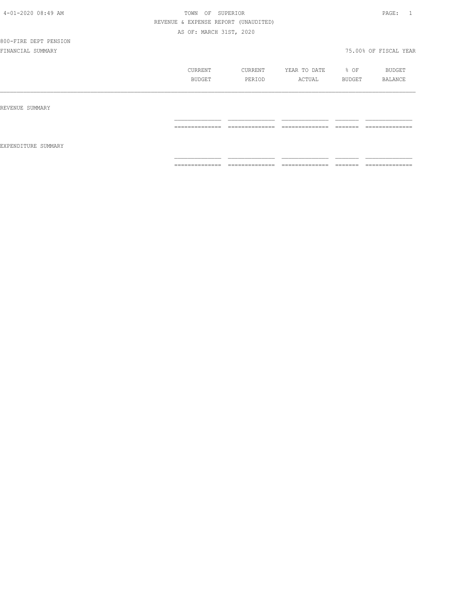# 800-FIRE DEPT PENSION

|                     | CURRENT        | CURRENT             | YEAR TO DATE         | % OF              | BUDGET              |
|---------------------|----------------|---------------------|----------------------|-------------------|---------------------|
|                     | BUDGET         | PERIOD              | ACTUAL               | BUDGET            | BALANCE             |
| REVENUE SUMMARY     |                |                     |                      |                   |                     |
| EXPENDITURE SUMMARY | -------------- | --------------      | ---------------      | -------           | --------------      |
|                     | .              | ---------------     | _______________      | ________          | _______________     |
|                     | ============== | ______________<br>. | _______________<br>. | -------<br>====== | --------------<br>. |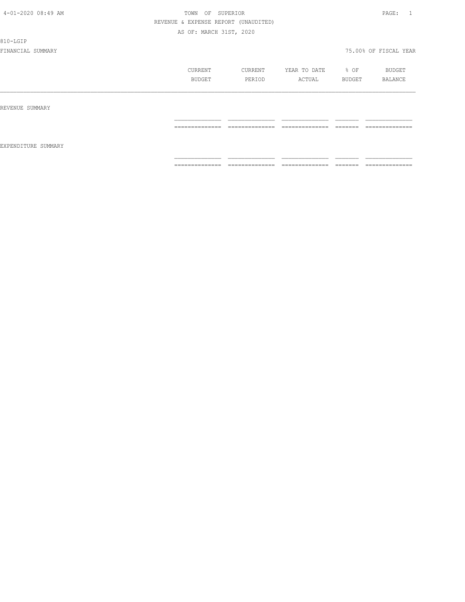810-LGIP

|                     | CURRENT<br>BUDGET | CURRENT<br>PERIOD                 | YEAR TO DATE<br>ACTUAL                                                                                                                                                                                                                                                                                                                                                                                                                                                                 | % OF<br>BUDGET                                                                                                                                                                                                                                                                                                                                                                                                                                         | <b>BUDGET</b><br>BALANCE       |
|---------------------|-------------------|-----------------------------------|----------------------------------------------------------------------------------------------------------------------------------------------------------------------------------------------------------------------------------------------------------------------------------------------------------------------------------------------------------------------------------------------------------------------------------------------------------------------------------------|--------------------------------------------------------------------------------------------------------------------------------------------------------------------------------------------------------------------------------------------------------------------------------------------------------------------------------------------------------------------------------------------------------------------------------------------------------|--------------------------------|
| REVENUE SUMMARY     |                   |                                   |                                                                                                                                                                                                                                                                                                                                                                                                                                                                                        |                                                                                                                                                                                                                                                                                                                                                                                                                                                        |                                |
| EXPENDITURE SUMMARY | ==============    | ______________<br>_______________ | ______________<br>.                                                                                                                                                                                                                                                                                                                                                                                                                                                                    | --------<br>-------                                                                                                                                                                                                                                                                                                                                                                                                                                    | --------------<br>------------ |
|                     | ==============    | $2222222222222222$                | $\begin{array}{cccccccccc} \multicolumn{2}{c}{} & \multicolumn{2}{c}{} & \multicolumn{2}{c}{} & \multicolumn{2}{c}{} & \multicolumn{2}{c}{} & \multicolumn{2}{c}{} & \multicolumn{2}{c}{} & \multicolumn{2}{c}{} & \multicolumn{2}{c}{} & \multicolumn{2}{c}{} & \multicolumn{2}{c}{} & \multicolumn{2}{c}{} & \multicolumn{2}{c}{} & \multicolumn{2}{c}{} & \multicolumn{2}{c}{} & \multicolumn{2}{c}{} & \multicolumn{2}{c}{} & \multicolumn{2}{c}{} & \multicolumn{2}{c}{} & \mult$ | $\begin{tabular}{ll} \multicolumn{3}{c}{\textbf{2.5}} & \multicolumn{3}{c}{\textbf{2.5}} & \multicolumn{3}{c}{\textbf{2.5}} \\ \multicolumn{3}{c}{\textbf{3.5}} & \multicolumn{3}{c}{\textbf{4.5}} & \multicolumn{3}{c}{\textbf{5.5}} \\ \multicolumn{3}{c}{\textbf{5.5}} & \multicolumn{3}{c}{\textbf{6.5}} & \multicolumn{3}{c}{\textbf{7.5}} \\ \multicolumn{3}{c}{\textbf{6.5}} & \multicolumn{3}{c}{\textbf{7.5}} & \multicolumn{3}{c}{\textbf{8$ | --------------                 |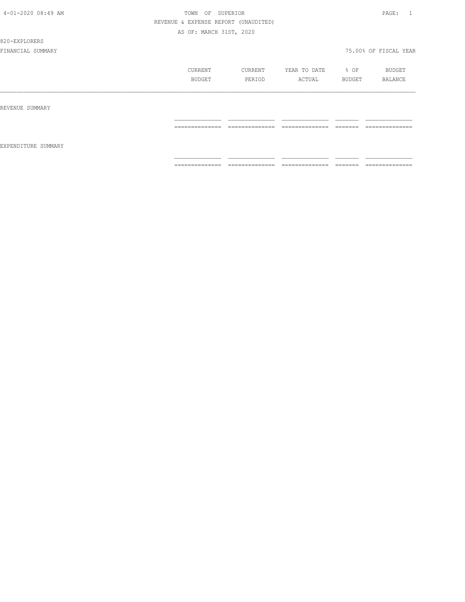#### 820-EXPLORERS

|                     | CURRENT<br>BUDGET | CURRENT<br>PERIOD               | YEAR TO DATE<br>ACTUAL | % OF<br>BUDGET      | BUDGET<br>BALANCE                 |
|---------------------|-------------------|---------------------------------|------------------------|---------------------|-----------------------------------|
| REVENUE SUMMARY     |                   |                                 |                        |                     |                                   |
| EXPENDITURE SUMMARY | ==============    | ______________<br>------------- | ______________<br>.    | --------<br>------- | ______________<br>------------    |
|                     | --------------    | ==============                  | ==============         | --------<br>------- | ______________<br>--------------- |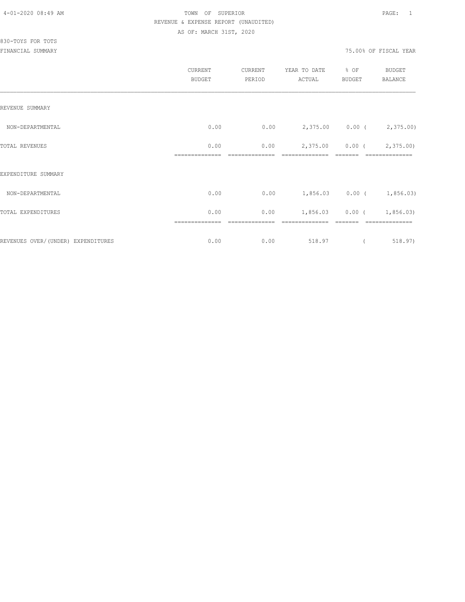830-TOYS FOR TOTS

|                                     | CURRENT<br><b>BUDGET</b> | CURRENT<br>PERIOD | YEAR TO DATE<br>ACTUAL | % OF<br><b>BUDGET</b> | <b>BUDGET</b><br>BALANCE    |
|-------------------------------------|--------------------------|-------------------|------------------------|-----------------------|-----------------------------|
| REVENUE SUMMARY                     |                          |                   |                        |                       |                             |
| NON-DEPARTMENTAL                    | 0.00                     | 0.00              |                        |                       | 2,375.00 0.00 (2,375.00)    |
| TOTAL REVENUES                      | 0.00                     | 0.00              | 2,375.00               |                       | $0.00$ ( $2,375.00$ )       |
| EXPENDITURE SUMMARY                 |                          |                   |                        |                       |                             |
| NON-DEPARTMENTAL                    | 0.00                     | 0.00              |                        |                       | $1,856.03$ 0.00 ( 1,856.03) |
| TOTAL EXPENDITURES                  | 0.00                     | 0.00              |                        |                       | $1,856.03$ 0.00 ( 1,856.03) |
| REVENUES OVER/ (UNDER) EXPENDITURES | 0.00                     | 0.00              | 518.97                 |                       | 518.97)                     |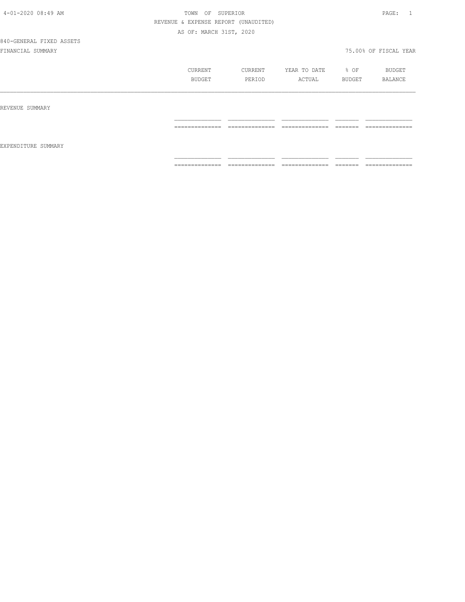840-GENERAL FIXED ASSETS

|                     | CURRENT<br>BUDGET                                                                                                                                                                                                                                                                                                                                                                                                                                                                            | CURRENT<br>PERIOD                                                                                                                                                                                                                                                                                                                                                                                                                                                                      | YEAR TO DATE<br>ACTUAL                                                                                                                                                                                                                                                                                                                                                                                                                                                                       | % OF<br>BUDGET      | BUDGET<br>BALANCE              |
|---------------------|----------------------------------------------------------------------------------------------------------------------------------------------------------------------------------------------------------------------------------------------------------------------------------------------------------------------------------------------------------------------------------------------------------------------------------------------------------------------------------------------|----------------------------------------------------------------------------------------------------------------------------------------------------------------------------------------------------------------------------------------------------------------------------------------------------------------------------------------------------------------------------------------------------------------------------------------------------------------------------------------|----------------------------------------------------------------------------------------------------------------------------------------------------------------------------------------------------------------------------------------------------------------------------------------------------------------------------------------------------------------------------------------------------------------------------------------------------------------------------------------------|---------------------|--------------------------------|
| REVENUE SUMMARY     |                                                                                                                                                                                                                                                                                                                                                                                                                                                                                              |                                                                                                                                                                                                                                                                                                                                                                                                                                                                                        |                                                                                                                                                                                                                                                                                                                                                                                                                                                                                              |                     |                                |
| EXPENDITURE SUMMARY | ______________<br>-------------                                                                                                                                                                                                                                                                                                                                                                                                                                                              | ______________                                                                                                                                                                                                                                                                                                                                                                                                                                                                         | ______________                                                                                                                                                                                                                                                                                                                                                                                                                                                                               | --------<br>------- | ______________<br>------------ |
|                     | $\begin{array}{c} \multicolumn{2}{c} {\textbf{1}} & \multicolumn{2}{c} {\textbf{2}} & \multicolumn{2}{c} {\textbf{3}} & \multicolumn{2}{c} {\textbf{4}} \\ \multicolumn{2}{c} {\textbf{2}} & \multicolumn{2}{c} {\textbf{3}} & \multicolumn{2}{c} {\textbf{4}} & \multicolumn{2}{c} {\textbf{5}} & \multicolumn{2}{c} {\textbf{6}} \\ \multicolumn{2}{c} {\textbf{4}} & \multicolumn{2}{c} {\textbf{5}} & \multicolumn{2}{c} {\textbf{6}} & \multicolumn{2}{c} {\textbf{6}} & \multicolumn{$ | $\begin{array}{cccccccccc} \multicolumn{2}{c}{} & \multicolumn{2}{c}{} & \multicolumn{2}{c}{} & \multicolumn{2}{c}{} & \multicolumn{2}{c}{} & \multicolumn{2}{c}{} & \multicolumn{2}{c}{} & \multicolumn{2}{c}{} & \multicolumn{2}{c}{} & \multicolumn{2}{c}{} & \multicolumn{2}{c}{} & \multicolumn{2}{c}{} & \multicolumn{2}{c}{} & \multicolumn{2}{c}{} & \multicolumn{2}{c}{} & \multicolumn{2}{c}{} & \multicolumn{2}{c}{} & \multicolumn{2}{c}{} & \multicolumn{2}{c}{} & \mult$ | $\begin{array}{c} \multicolumn{2}{c} {\textbf{1}} & \multicolumn{2}{c} {\textbf{2}} & \multicolumn{2}{c} {\textbf{3}} & \multicolumn{2}{c} {\textbf{4}} \\ \multicolumn{2}{c} {\textbf{2}} & \multicolumn{2}{c} {\textbf{3}} & \multicolumn{2}{c} {\textbf{4}} & \multicolumn{2}{c} {\textbf{5}} & \multicolumn{2}{c} {\textbf{6}} \\ \multicolumn{2}{c} {\textbf{4}} & \multicolumn{2}{c} {\textbf{5}} & \multicolumn{2}{c} {\textbf{6}} & \multicolumn{2}{c} {\textbf{6}} & \multicolumn{$ | --------<br>------- | --------------                 |